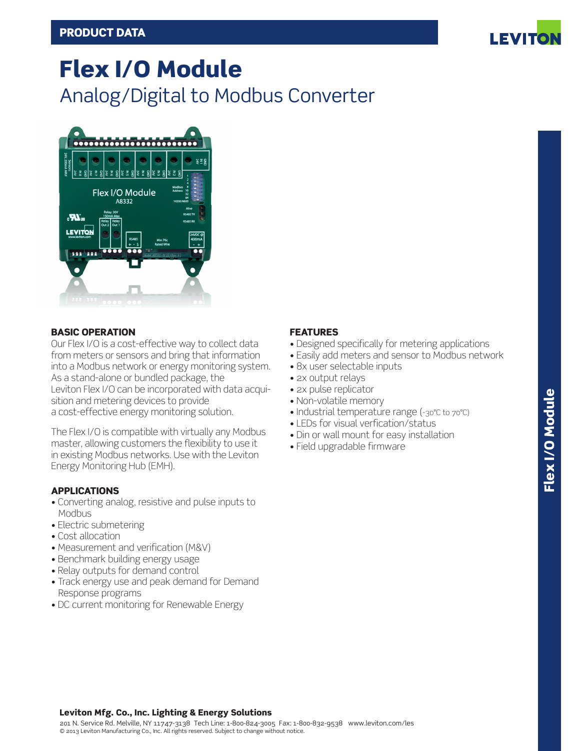

# Flex I/O Module Analog/Digital to Modbus Converter



## BASIC OPERATION

Our Flex I/O is a cost-effective way to collect data from meters or sensors and bring that information into a Modbus network or energy monitoring system. As a stand-alone or bundled package, the Leviton Flex I/O can be incorporated with data acquisition and metering devices to provide a cost-effective energy monitoring solution.

The Flex I/O is compatible with virtually any Modbus master, allowing customers the flexibility to use it in existing Modbus networks. Use with the Leviton Energy Monitoring Hub (EMH).

## APPLICATIONS

- Converting analog, resistive and pulse inputs to Modbus
- Electric submetering
- Cost allocation
- Measurement and verification (M&V)
- Benchmark building energy usage
- Relay outputs for demand control
- Track energy use and peak demand for Demand Response programs
- DC current monitoring for Renewable Energy

## FEATURES

- Designed specifically for metering applications
- Easily add meters and sensor to Modbus network
- 8x user selectable inputs
- 2x output relays
- 2x pulse replicator
- Non-volatile memory
- Industrial temperature range (-30°C to 70°C)
- LEDs for visual verfication/status
- Din or wall mount for easy installation
- Field upgradable firmware

# Leviton Mfg. Co., Inc. Lighting & Energy Solutions